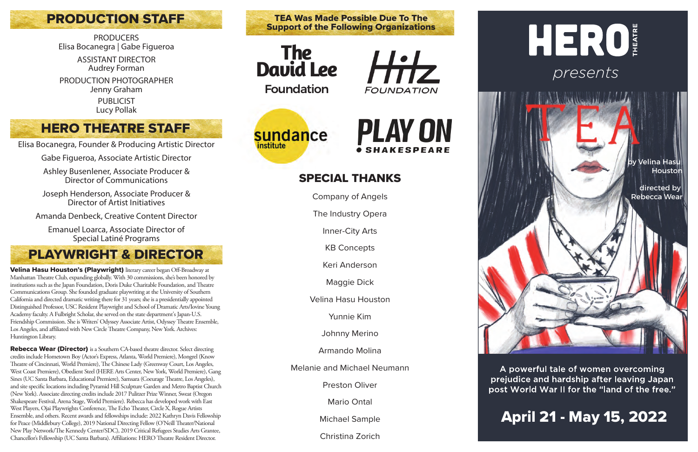Velina Hasu Houston's (Playwright) literary career began Off-Broadway at Manhattan Theatre Club, expanding globally. With 30 commissions, she's been honored by institutions such as the Japan Foundation, Doris Duke Charitable Foundation, and Theatre Communications Group. She founded graduate playwriting at the University of Southern California and directed dramatic writing there for 31 years; she is a presidentially appointed Distinguished Professor, USC Resident Playwright and School of Dramatic Arts/Iovine Young Academy faculty. A Fulbright Scholar, she served on the state department's Japan-U.S. Friendship Commission. She is Writers' Odyssey Associate Artist, Odyssey Theatre Ensemble, Los Angeles, and affiliated with New Circle Theatre Company, New York. Archives: Huntington Library.

Rebecca Wear (Director) is a Southern CA-based theatre director. Select directing credits include Hometown Boy (Actor's Express, Atlanta, World Premiere), Mongrel (Know Theatre of Cincinnati, World Premiere), The Chinese Lady (Greenway Court, Los Angeles, West Coast Premiere), Obedient Steel (HERE Arts Center, New York, World Premiere), Gang Sines (UC Santa Barbara, Educational Premiere), Samsara (Coeurage Theatre, Los Angeles), and site specific locations including Pyramid Hill Sculpture Garden and Metro Baptist Church (New York). Associate directing credits include 2017 Pulitzer Prize Winner, Sweat (Oregon Shakespeare Festival, Arena Stage, World Premiere). Rebecca has developed work with East West Players, Ojai Playwrights Conference, The Echo Theater, Circle X, Rogue Artists Ensemble, and others. Recent awards and fellowships include: 2022 Kathryn Davis Fellowship for Peace (Middlebury College), 2019 National Directing Fellow (O'Neill Theater/National New Play Network/The Kennedy Center/SDC), 2019 Critical Refugees Studies Arts Grantee, Chancellor's Fellowship (UC Santa Barbara). Affiliations: HERO Theatre Resident Director.

TEA Was Made Possible Due To The<br>Support of the Following Organizations

# **PRODUCTION STAFF**

**PRODUCERS** Elisa Bocanegra | Gabe Figueroa

# HERO *presents*

### by Velina Hasu **Houstor**

# SPECIAL THANKS

Company of Angels

The Industry Opera

Inner-City Arts

KB Concepts

Keri Anderson

Maggie Dick

Velina Hasu Houston

Yunnie Kim

Johnny Merino

Armando Molina

Melanie and Michael Neumann

Preston Oliver

Mario Ontal

Michael Sample

Christina Zorich



ASSISTANT DIRECTOR Audrey Forman PRODUCTION PHOTOGRAPHER Jenny Graham

PUBLICIST

Lucy Pollak



Hitz **FOUNDATION** 





Elisa Bocanegra, Founder & Producing Artistic Director

Gabe Figueroa, Associate Artistic Director

Ashley Busenlener, Associate Producer & Director of Communications

Joseph Henderson, Associate Producer & Director of Artist Initiatives

Amanda Denbeck, Creative Content Director

Emanuel Loarca, Associate Director of Special Latiné Programs

# PLAYWRIGHT & DIRECTOR

 directed by Rebecca Wear

A powerful tale of women overcoming prejudice and hardship after leaving Japan post World War II for the "land of the free."

# HERO THEATRE STAFF

# April 21 - May 15, 2022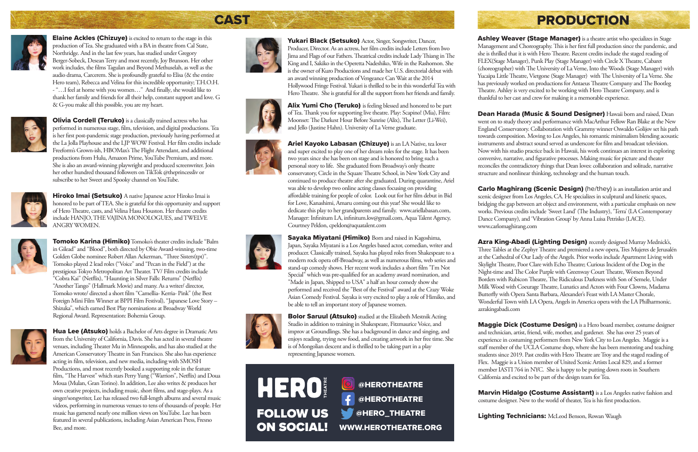

**Elaine Ackles (Chizuye)** is excited to return to the stage in this production ofTea. She graduated with a BA in theatre from Cal State, Northridge. And in the last few years, has studied under Gregory Berger-Sobeck, Desean Terry and most recently, Joy Brunson. Her other work includes, the films Tagulan and Beyond Methuselah, as well as the audio drama, Carcerem. She is profoundly grateful to Elisa (& the entire Hero team), Rebecca and Velina for this incredible opportunity; T.H.O.H. - "... I feel at home with you women..." And finally, she would like to thank her family and friends for all their help, constant support and love. G & G-you make all this possible, you are my heart.



**Olivia Cordell (Teruko)** is a classically trained actress who has performed in numerous stage, film, television, and digital productions. Tea is her first post-pandemic stage production, previously having performed at the La Jolla Playhouse and the LJP WOW Festival. Her film credits include Freeform's Grown-ish, HBOMax's The Flight Attendant, and additional productions from Hulu, Amazon Prime, YouTube Premium, and more. She is also an award-winning playwright and produced screenwriter. Join her other hundred thousand followers onTikTok @theprincessliv or subscribe to her Sweet and Spooky channel on YouTube.



Hiroko Imai (Setsuko) A native Japanese actor Hiroko Imai is honored to be part ofTEA. She is grateful for this opportunity and support of Hero Theatre, casts, and Velina Hasu Houston. Her theatre credits include HANJO,THE VAJINA MONOLOGUES, andTWELVE ANGRY WOMEN.



Tomoko Karina (Himiko) Tomoko's theater credits include "Balm in Gilead" and "Blood", both directed by Obie Award-winning, two-time Golden Globe nominee Robert Allan Ackerman, "Three Sisters(tpt)". Tomoko played 2 lead roles ("Voice" and "Pecan in the Field") at the prestigious Tokyo Metropolitan Art Theater. TV/ Film credits include "Cobra Kai" (Netflix), "Haunting in Silver Falls: Returns" (Netflix) "Another Tango" (Hallmark Movie) and many. As a writer/ director, Tomoko wrote/ directed a short film "Camellia- Kerria- Pink" (the Best Foreign Mini Film Winner at BPPI Film Festival), "Japanese Love Story – Shizuka", which earned Best Play nominations at Broadway World Regional Award. Representation: Bohemia Group.



Hua Lee (Atsuko) holds a Bachelor of Arts degree in Dramatic Arts from the University of California, Davis. She has acted in several theatre venues, including Theater Mu in Minneapolis, and has also studied at the American Conservatory Theatre in San Francisco. She also has experience acting in film, television, and new media, including with SMOSH Productions, and most recently booked a supporting role in the feature film, "The Harvest" which stars Perry Yung ("Warriors", Netflix) and Doua Moua (Mulan, Gran Torino). In addition, Lee also writes & produces her own creative projects, including music, short films, and stage-plays. As a singer/songwriter, Lee has released two full-length albums and several music videos, performing in numerous venues to tens of thousands of people. Her music has garnered nearly one million views on YouTube. Lee has been featured in several publications, including Asian American Press, Fresno Bee, and more.



Yukari Black (Setsuko) Actor, Singer, Songwriter, Dancer, Producer, Director. As an actress, her film credits include Letters from Iwo Jima and Flags of our Fathers. Theatrical credits include Lady Thiang in The King and I, Sakiko in the Operetta Nadeshiko, Wife in the Rashomon. She is the owner of Kuro Productions and made her U.S. directorial debut with an award winning production of Vengeance Can Wait at the 2014 Hollywood Fringe Festival. Yukari is thrilled to be in this wonderful Tea with Hero Theatre. She is grateful for all the support from her friends and family.





Alix Yumi Cho (Teruko) is feeling blessed and honored to be part of Tea. Thank you for supporting live theatre. Play: Scapino! (Mia), Film: Moonset: The Darkest Hour Before Sunrise (Alix), The Letter (Li-Wei), and Jello (Justine Hahn). University of La Verne graduate.



Ariel Kayoko Labasan (Chizuye) is an LA Native, tea lover and super excited to play one of her dream roles for the stage. It has been two years since she has been on stage and is honored to bring such a personal story to life. She graduated from Broadway's only theatre conservatory, Circle in the Square Theatre School, in New York City and continued to produce theatre after she graduated. During quarantine, Ariel was able to develop two online acting classes focusing on providing affordable training for people of color. Look out for her film debut in Bid for Love, Kanashimi, Amaru coming out this year! She would like to dedicate this play to her grandparents and family. www.ariellabasan.com, Manager: Infinitum LA, infinitum.kw@gmail.com, Aqua Talent Agency, Courtney Peldon, cpeldon@aquatalent.com



Sayaka Miyatani (Himiko) Born and raised in Kagoshima, Japan, Sayaka Miyatani is a Los Angeles based actor, comedian, writer and producer. Classically trained, Sayaka has played roles from Shakespeare to a modern rock opera off-Broadway, as well as numerous films, web series and stand-up comedy shows. Her recent work includes a short film "I'm Not Special" which was pre-qualified for an academy award nomination, and "Made in Japan, Shipped to USA" a half an hour comedy show she performed and received the "Best of the Festival" award at the Crazy Woke Asian Comedy Festival. Sayaka is very excited to play a role of Himiko, and be able to tell an important story of Japanese women.



Ashley Weaver (Stage Manager) is a theatre artist who specializes in Stage Management and Choreography. This is her first full production since the pandemic, and she is thrilled that it is with Hero Theatre. Recent credits include the staged reading of FLEX(Stage Manager), Punk Play (Stage Manager) with Circle X Theatre, Cabaret (choreographer) with The University of La Verne, Into the Woods (Stage Manager) with Yucaipa Little Theatre, Vietgone (Stage Manager) with The University of La Verne. She has previously worked on productions for Antaeus Theatre Company and The Bootleg Theatre. Ashley is very excited to be working with Hero Theatre Company, and is thankful to her cast and crew for making it a memorable experience.

Azra King-Abadi (Lighting Design) recently designed Murray Mednick's, Three Tables at the Zephyr Theatre and premiered a new opera, Tres Mujeres de Jerusalén at the Cathedral of Our Lady of the Angels. Prior works include Apartment Living with Skylight Theatre, Poor Clare with Echo Theatre; Curious Incident of the Dog in the Night-time and The Color Purple with Greenway Court Theatre, Women Beyond Borders with Rubicon Theatre, The Ridiculous Darkness with Son of Semele, Under Milk Wood with Coeurage Theatre, Lunatics and Actors with Four Clowns, Madama Butterfly with Opera Santa Barbara, Alexander's Feast with LA Master Chorale, Wonderful Town with LA Opera, Angels in America opera with the LA Philharmonic. azrakingabadi.com

Marvin Hidalgo (Costume Assistant) is a Los Angeles native fashion and costume designer. New to the world of theater, Tea is his first production.

Lighting Technicians: McLeod Benson, Rowan Waugh

# CAST Research and the RODUCTION

Bolor Saruul (Atsuko) studied at the Elizabeth Mestnik Acting Studio in addition to training in Shakespeare, Fitzmaurice Voice, and improv at Groundlings. She has a background in dance and singing, and enjoys reading, trying new food, and creating artwork in her free time. She is of Mongolian descent and is thrilled to be taking part in a play representing Japanese women.

Dean Harada (Music & Sound Designer) Hawaii born and raised, Dean went on to study theory and performance with MacArthur Fellow Ran Blake at the New England Conservatory. Collaboration with Grammy winner Oswaldo Golijov set his path towards composition. Moving to Los Angeles, his romantic minimalism blending acoustic instruments and abstract sound served as underscore for film and broadcast television. Now with his studio practice back in Hawaii, his work continues an interest in exploring conversive, narrative, and figurative processes. Making music for picture and theater reconciles the contradictory things that Dean loves: collaboration and solitude, narrative structure and nonlinear thinking, technology and the human touch.

Carlo Maghirang (Scenic Design) (he/they) is an installation artist and scenic designer from Los Angeles, CA. He specializes in sculptural and kinetic spaces, bridging the gap between art object and environment, with a particular emphasis on new works. Previous credits include 'Sweet Land' (The Industry), 'Terra' (LA Contemporary Dance Company), and 'Vibration Group' by Anna Luisa Petrisko (LACE). www.carlomaghirang.com

Maggie Dick (Costume Design) is a Hero board member, costume designer and technician, artist, friend, wife, mother, and gardener. She has over 25 years of experience in costuming performers from New York City to Los Angeles. Maggie is a staff member of the UCLA Costume shop, where she has been mentoring and teaching students since 2019. Past credits with Hero Theatre are Troy and the staged reading of Flex. Maggie is a Union member of United Scenic Artists Local 829, and a former member IASTI 764 in NYC. She is happy to be putting down roots in Southern California and excited to be part of the design team for Tea.